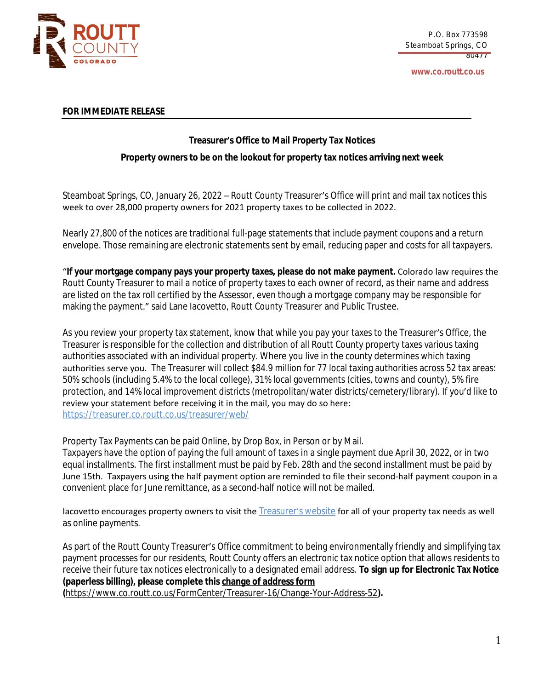

**www.co.routt.co.us**

## **FOR IMMEDIATE RELEASE**

## **Treasurer's Office to Mail Property Tax Notices**

## **Property owners to be on the lookout for property tax notices arriving next week**

Steamboat Springs, CO, January 26, 2022 – Routt County Treasurer's Office will print and mail tax notices this week to over 28,000 property owners for 2021 property taxes to be collected in 2022.

Nearly 27,800 of the notices are traditional full-page statements that include payment coupons and a return envelope. Those remaining are electronic statements sent by email, reducing paper and costs for all taxpayers.

"**If your mortgage company pays your property taxes, please do not make payment.** Colorado law requires the Routt County Treasurer to mail a notice of property taxes to each owner of record, as their name and address are listed on the tax roll certified by the Assessor, even though a mortgage company may be responsible for making the payment." said Lane Iacovetto, Routt County Treasurer and Public Trustee.

As you review your property tax statement, know that while you pay your taxes to the Treasurer's Office, the Treasurer is responsible for the collection and distribution of all Routt County property taxes various taxing authorities associated with an individual property. Where you live in the county determines which taxing authorities serve you. The Treasurer will collect \$84.9 million for 77 local taxing authorities across 52 tax areas: 50% schools (including 5.4% to the local college), 31% local governments (cities, towns and county), 5% fire protection, and 14% local improvement districts (metropolitan/water districts/cemetery/library). If you'd like to review your statement before receiving it in the mail, you may do so here: <https://treasurer.co.routt.co.us/treasurer/web/>

Property Tax Payments can be paid Online, by Drop Box, in Person or by Mail.

Taxpayers have the option of paying the full amount of taxes in a single payment due April 30, 2022, or in two equal installments. The first installment must be paid by Feb. 28th and the second installment must be paid by June 15th. Taxpayers using the half payment option are reminded to file their second-half payment coupon in a convenient place for June remittance, as a second-half notice will not be mailed.

Iacovetto encourages property owners to visit the **[Treasurer](http://www.co.routt.co.us/211/Treasurer)'s website** for all of your property tax needs as well as online payments.

As part of the Routt County Treasurer's Office commitment to being environmentally friendly and simplifying tax payment processes for our residents, Routt County offers an electronic tax notice option that allows residents to receive their future tax notices electronically to a designated email address. **To sign up for Electronic Tax Notice (paperless billing), [please complete this change of address form](https://www.co.routt.co.us/FormCenter/Treasurer-16/Change-Your-Address-52)**

**(**<https://www.co.routt.co.us/FormCenter/Treasurer-16/Change-Your-Address-52>**).**